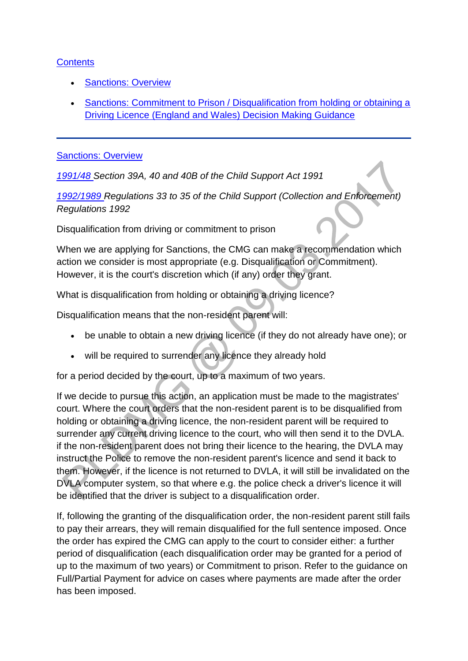## **[Contents](http://np-cmg-sharepoint.link2.gpn.gov.uk/sites/policy-law-and-decision-making-guidance/Pages/Legal%20Enforcement%20-%20England%20and%20Wales/Sanctions.aspx)**

- [Sanctions: Overview](http://np-cmg-sharepoint.link2.gpn.gov.uk/sites/policy-law-and-decision-making-guidance/Pages/Legal%20Enforcement%20-%20England%20and%20Wales/Sanctions.aspx#Sanctions%3aOverview)
- [Sanctions: Commitment to Prison / Disqualification from holding or obtaining a](http://np-cmg-sharepoint.link2.gpn.gov.uk/sites/policy-law-and-decision-making-guidance/Pages/Legal%20Enforcement%20-%20England%20and%20Wales/Sanctions.aspx#Sanctions%3a%20Commitment%20to%20Prison%20/%20Disqualification%20from%20holding%20or%20obtaining%20a%20Driving%20Licence%20%28England%20and%20Wales%29%20Decision%20Making%20Guidance)  [Driving Licence \(England and Wales\) Decision Making Guidance](http://np-cmg-sharepoint.link2.gpn.gov.uk/sites/policy-law-and-decision-making-guidance/Pages/Legal%20Enforcement%20-%20England%20and%20Wales/Sanctions.aspx#Sanctions%3a%20Commitment%20to%20Prison%20/%20Disqualification%20from%20holding%20or%20obtaining%20a%20Driving%20Licence%20%28England%20and%20Wales%29%20Decision%20Making%20Guidance)

#### [Sanctions: Overview](http://np-cmg-sharepoint.link2.gpn.gov.uk/sites/policy-law-and-decision-making-guidance/Pages/Legal%20Enforcement%20-%20England%20and%20Wales/Sanctions.aspx)

*[1991/48 S](http://www.legislation.gov.uk/ukpga/1991/48)ection 39A, 40 and 40B of the Child Support Act 1991*

*[1992/1989 R](http://www.legislation.gov.uk/uksi/1992/1989)egulations 33 to 35 of the Child Support (Collection and Enforcement) Regulations 1992*

Disqualification from driving or commitment to prison

When we are applying for Sanctions, the CMG can make a recommendation which action we consider is most appropriate (e.g. Disqualification or Commitment). However, it is the court's discretion which (if any) order they grant.

What is disqualification from holding or obtaining a driving licence?

Disqualification means that the non-resident parent will:

- be unable to obtain a new driving licence (if they do not already have one); or
- will be required to surrender any licence they already hold

for a period decided by the court, up to a maximum of two years.

If we decide to pursue this action, an application must be made to the magistrates' court. Where the court orders that the non-resident parent is to be disqualified from holding or obtaining a driving licence, the non-resident parent will be required to surrender any current driving licence to the court, who will then send it to the DVLA. if the non-resident parent does not bring their licence to the hearing, the DVLA may instruct the Police to remove the non-resident parent's licence and send it back to them. However, if the licence is not returned to DVLA, it will still be invalidated on the DVLA computer system, so that where e.g. the police check a driver's licence it will be identified that the driver is subject to a disqualification order.

If, following the granting of the disqualification order, the non-resident parent still fails to pay their arrears, they will remain disqualified for the full sentence imposed. Once the order has expired the CMG can apply to the court to consider either: a further period of disqualification (each disqualification order may be granted for a period of up to the maximum of two years) or Commitment to prison. Refer to the guidance on Full/Partial Payment for advice on cases where payments are made after the order has been imposed.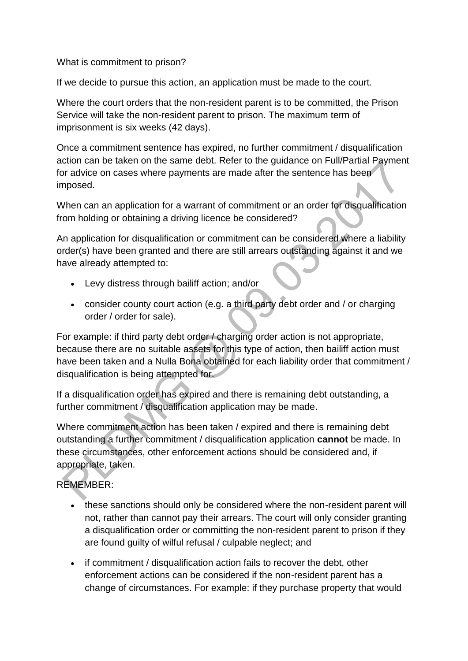What is commitment to prison?

If we decide to pursue this action, an application must be made to the court.

Where the court orders that the non-resident parent is to be committed, the Prison Service will take the non-resident parent to prison. The maximum term of imprisonment is six weeks (42 days).

Once a commitment sentence has expired, no further commitment / disqualification action can be taken on the same debt. Refer to the guidance on Full/Partial Payment for advice on cases where payments are made after the sentence has been imposed.

When can an application for a warrant of commitment or an order for disqualification from holding or obtaining a driving licence be considered?

An application for disqualification or commitment can be considered where a liability order(s) have been granted and there are still arrears outstanding against it and we have already attempted to:

- Levy distress through bailiff action; and/or
- consider county court action (e.g. a third party debt order and / or charging order / order for sale).

For example: if third party debt order / charging order action is not appropriate, because there are no suitable assets for this type of action, then bailiff action must have been taken and a Nulla Bona obtained for each liability order that commitment / disqualification is being attempted for.

If a disqualification order has expired and there is remaining debt outstanding, a further commitment / disqualification application may be made.

Where commitment action has been taken / expired and there is remaining debt outstanding a further commitment / disqualification application **cannot** be made. In these circumstances, other enforcement actions should be considered and, if appropriate, taken.

REMEMBER:

- these sanctions should only be considered where the non-resident parent will not, rather than cannot pay their arrears. The court will only consider granting a disqualification order or committing the non-resident parent to prison if they are found guilty of wilful refusal / culpable neglect; and
- if commitment / disqualification action fails to recover the debt, other enforcement actions can be considered if the non-resident parent has a change of circumstances. For example: if they purchase property that would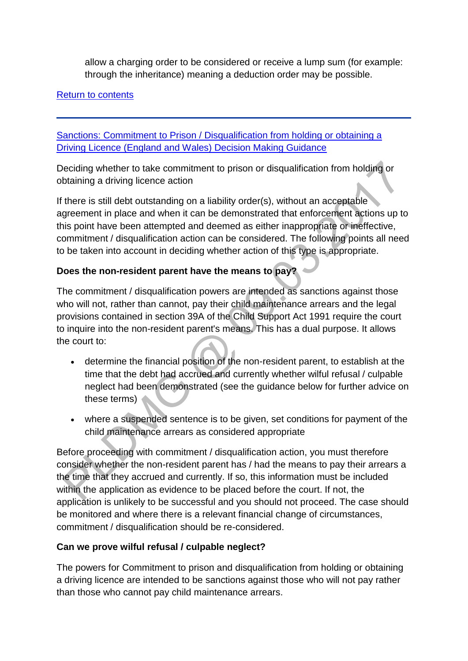allow a charging order to be considered or receive a lump sum (for example: through the inheritance) meaning a deduction order may be possible.

## [Return to contents](http://np-cmg-sharepoint.link2.gpn.gov.uk/sites/policy-law-and-decision-making-guidance/Pages/Legal%20Enforcement%20-%20England%20and%20Wales/Sanctions.aspx#Contents)

[Sanctions: Commitment to Prison / Disqualification from holding or obtaining a](http://np-cmg-sharepoint.link2.gpn.gov.uk/sites/policy-law-and-decision-making-guidance/Pages/Legal%20Enforcement%20-%20England%20and%20Wales/Sanctions.aspx)  [Driving Licence \(England and Wales\) Decision Making Guidance](http://np-cmg-sharepoint.link2.gpn.gov.uk/sites/policy-law-and-decision-making-guidance/Pages/Legal%20Enforcement%20-%20England%20and%20Wales/Sanctions.aspx)

Deciding whether to take commitment to prison or disqualification from holding or obtaining a driving licence action

If there is still debt outstanding on a liability order(s), without an acceptable agreement in place and when it can be demonstrated that enforcement actions up to this point have been attempted and deemed as either inappropriate or ineffective, commitment / disqualification action can be considered. The following points all need to be taken into account in deciding whether action of this type is appropriate.

# **Does the non-resident parent have the means to pay?**

The commitment / disqualification powers are intended as sanctions against those who will not, rather than cannot, pay their child maintenance arrears and the legal provisions contained in section 39A of the Child Support Act 1991 require the court to inquire into the non-resident parent's means. This has a dual purpose. It allows the court to:

- determine the financial position of the non-resident parent, to establish at the time that the debt had accrued and currently whether wilful refusal / culpable neglect had been demonstrated (see the guidance below for further advice on these terms)
- where a suspended sentence is to be given, set conditions for payment of the child maintenance arrears as considered appropriate

Before proceeding with commitment / disqualification action, you must therefore consider whether the non-resident parent has / had the means to pay their arrears a the time that they accrued and currently. If so, this information must be included within the application as evidence to be placed before the court. If not, the application is unlikely to be successful and you should not proceed. The case should be monitored and where there is a relevant financial change of circumstances, commitment / disqualification should be re-considered.

### **Can we prove wilful refusal / culpable neglect?**

The powers for Commitment to prison and disqualification from holding or obtaining a driving licence are intended to be sanctions against those who will not pay rather than those who cannot pay child maintenance arrears.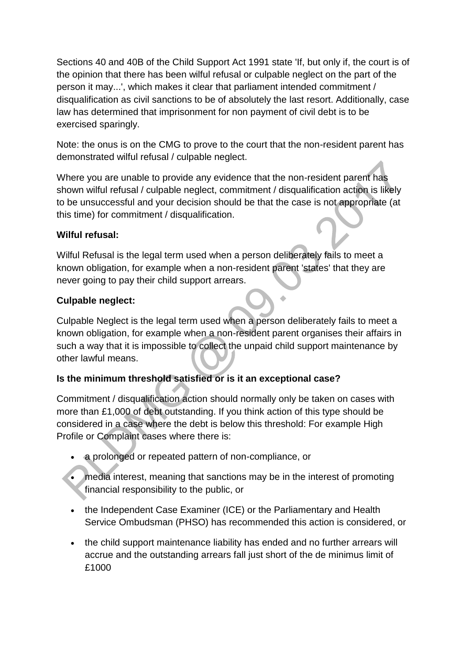Sections 40 and 40B of the Child Support Act 1991 state 'If, but only if, the court is of the opinion that there has been wilful refusal or culpable neglect on the part of the person it may...', which makes it clear that parliament intended commitment / disqualification as civil sanctions to be of absolutely the last resort. Additionally, case law has determined that imprisonment for non payment of civil debt is to be exercised sparingly.

Note: the onus is on the CMG to prove to the court that the non-resident parent has demonstrated wilful refusal / culpable neglect.

Where you are unable to provide any evidence that the non-resident parent has shown wilful refusal / culpable neglect, commitment / disqualification action is likely to be unsuccessful and your decision should be that the case is not appropriate (at this time) for commitment / disqualification.

## **Wilful refusal:**

Wilful Refusal is the legal term used when a person deliberately fails to meet a known obligation, for example when a non-resident parent 'states' that they are never going to pay their child support arrears.

## **Culpable neglect:**

Culpable Neglect is the legal term used when a person deliberately fails to meet a known obligation, for example when a non-resident parent organises their affairs in such a way that it is impossible to collect the unpaid child support maintenance by other lawful means.

# **Is the minimum threshold satisfied or is it an exceptional case?**

Commitment / disqualification action should normally only be taken on cases with more than £1,000 of debt outstanding. If you think action of this type should be considered in a case where the debt is below this threshold: For example High Profile or Complaint cases where there is:

- a prolonged or repeated pattern of non-compliance, or
- media interest, meaning that sanctions may be in the interest of promoting financial responsibility to the public, or
- the Independent Case Examiner (ICE) or the Parliamentary and Health Service Ombudsman (PHSO) has recommended this action is considered, or
- the child support maintenance liability has ended and no further arrears will accrue and the outstanding arrears fall just short of the de minimus limit of £1000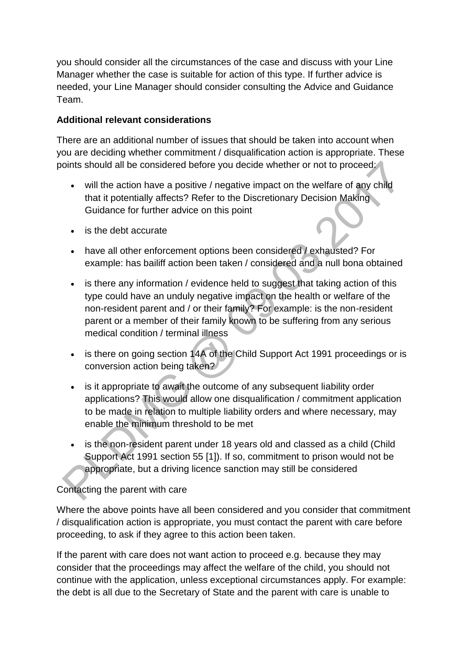you should consider all the circumstances of the case and discuss with your Line Manager whether the case is suitable for action of this type. If further advice is needed, your Line Manager should consider consulting the Advice and Guidance Team.

## **Additional relevant considerations**

There are an additional number of issues that should be taken into account when you are deciding whether commitment / disqualification action is appropriate. These points should all be considered before you decide whether or not to proceed:

- will the action have a positive / negative impact on the welfare of any child that it potentially affects? Refer to the Discretionary Decision Making Guidance for further advice on this point
- is the debt accurate
- have all other enforcement options been considered / exhausted? For example: has bailiff action been taken / considered and a null bona obtained
- is there any information / evidence held to suggest that taking action of this type could have an unduly negative impact on the health or welfare of the non-resident parent and / or their family? For example: is the non-resident parent or a member of their family known to be suffering from any serious medical condition / terminal illness
- is there on going section 14A of the Child Support Act 1991 proceedings or is conversion action being taken?
- is it appropriate to await the outcome of any subsequent liability order applications? This would allow one disqualification / commitment application to be made in relation to multiple liability orders and where necessary, may enable the minimum threshold to be met
- is the non-resident parent under 18 years old and classed as a child (Child Support Act 1991 section 55 [1]). If so, commitment to prison would not be appropriate, but a driving licence sanction may still be considered

### Contacting the parent with care

Where the above points have all been considered and you consider that commitment / disqualification action is appropriate, you must contact the parent with care before proceeding, to ask if they agree to this action been taken.

If the parent with care does not want action to proceed e.g. because they may consider that the proceedings may affect the welfare of the child, you should not continue with the application, unless exceptional circumstances apply. For example: the debt is all due to the Secretary of State and the parent with care is unable to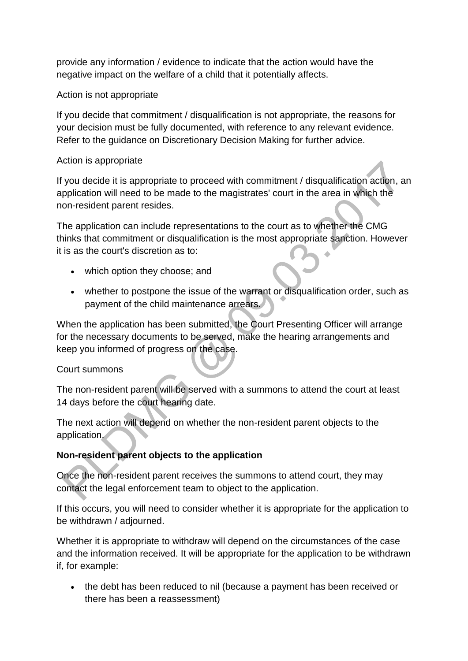provide any information / evidence to indicate that the action would have the negative impact on the welfare of a child that it potentially affects.

### Action is not appropriate

If you decide that commitment / disqualification is not appropriate, the reasons for your decision must be fully documented, with reference to any relevant evidence. Refer to the guidance on Discretionary Decision Making for further advice.

## Action is appropriate

If you decide it is appropriate to proceed with commitment / disqualification action, an application will need to be made to the magistrates' court in the area in which the non-resident parent resides.

The application can include representations to the court as to whether the CMG thinks that commitment or disqualification is the most appropriate sanction. However it is as the court's discretion as to:

- which option they choose; and
- whether to postpone the issue of the warrant or disqualification order, such as payment of the child maintenance arrears.

When the application has been submitted, the Court Presenting Officer will arrange for the necessary documents to be served, make the hearing arrangements and keep you informed of progress on the case.

# Court summons

The non-resident parent will be served with a summons to attend the court at least 14 days before the court hearing date.

The next action will depend on whether the non-resident parent objects to the application.

# **Non-resident parent objects to the application**

Once the non-resident parent receives the summons to attend court, they may contact the legal enforcement team to object to the application.

If this occurs, you will need to consider whether it is appropriate for the application to be withdrawn / adjourned.

Whether it is appropriate to withdraw will depend on the circumstances of the case and the information received. It will be appropriate for the application to be withdrawn if, for example:

• the debt has been reduced to nil (because a payment has been received or there has been a reassessment)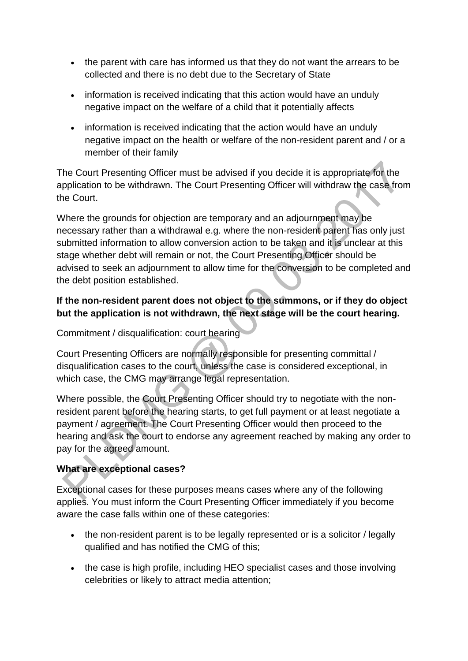- the parent with care has informed us that they do not want the arrears to be collected and there is no debt due to the Secretary of State
- information is received indicating that this action would have an unduly negative impact on the welfare of a child that it potentially affects
- information is received indicating that the action would have an unduly negative impact on the health or welfare of the non-resident parent and / or a member of their family

The Court Presenting Officer must be advised if you decide it is appropriate for the application to be withdrawn. The Court Presenting Officer will withdraw the case from the Court.

Where the grounds for objection are temporary and an adjournment may be necessary rather than a withdrawal e.g. where the non-resident parent has only just submitted information to allow conversion action to be taken and it is unclear at this stage whether debt will remain or not, the Court Presenting Officer should be advised to seek an adjournment to allow time for the conversion to be completed and the debt position established.

# **If the non-resident parent does not object to the summons, or if they do object but the application is not withdrawn, the next stage will be the court hearing.**

Commitment / disqualification: court hearing

Court Presenting Officers are normally responsible for presenting committal / disqualification cases to the court, unless the case is considered exceptional, in which case, the CMG may arrange legal representation.

Where possible, the Court Presenting Officer should try to negotiate with the nonresident parent before the hearing starts, to get full payment or at least negotiate a payment / agreement. The Court Presenting Officer would then proceed to the hearing and ask the court to endorse any agreement reached by making any order to pay for the agreed amount.

# **What are exceptional cases?**

Exceptional cases for these purposes means cases where any of the following applies. You must inform the Court Presenting Officer immediately if you become aware the case falls within one of these categories:

- the non-resident parent is to be legally represented or is a solicitor / legally qualified and has notified the CMG of this;
- the case is high profile, including HEO specialist cases and those involving celebrities or likely to attract media attention;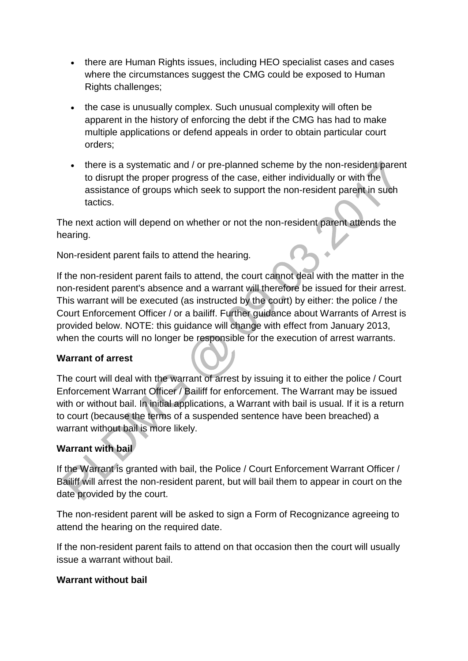- there are Human Rights issues, including HEO specialist cases and cases where the circumstances suggest the CMG could be exposed to Human Rights challenges;
- the case is unusually complex. Such unusual complexity will often be apparent in the history of enforcing the debt if the CMG has had to make multiple applications or defend appeals in order to obtain particular court orders;
- there is a systematic and / or pre-planned scheme by the non-resident parent to disrupt the proper progress of the case, either individually or with the assistance of groups which seek to support the non-resident parent in such tactics.

The next action will depend on whether or not the non-resident parent attends the hearing.

Non-resident parent fails to attend the hearing.

If the non-resident parent fails to attend, the court cannot deal with the matter in the non-resident parent's absence and a warrant will therefore be issued for their arrest. This warrant will be executed (as instructed by the court) by either: the police / the Court Enforcement Officer / or a bailiff. Further guidance about Warrants of Arrest is provided below. NOTE: this guidance will change with effect from January 2013, when the courts will no longer be responsible for the execution of arrest warrants.

# **Warrant of arrest**

The court will deal with the warrant of arrest by issuing it to either the police / Court Enforcement Warrant Officer / Bailiff for enforcement. The Warrant may be issued with or without bail. In initial applications, a Warrant with bail is usual. If it is a return to court (because the terms of a suspended sentence have been breached) a warrant without bail is more likely.

# **Warrant with bail**

If the Warrant is granted with bail, the Police / Court Enforcement Warrant Officer / Bailiff will arrest the non-resident parent, but will bail them to appear in court on the date provided by the court.

The non-resident parent will be asked to sign a Form of Recognizance agreeing to attend the hearing on the required date.

If the non-resident parent fails to attend on that occasion then the court will usually issue a warrant without bail.

### **Warrant without bail**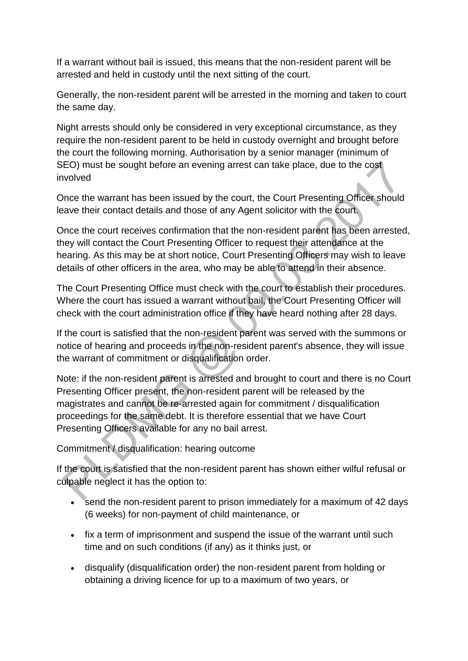If a warrant without bail is issued, this means that the non-resident parent will be arrested and held in custody until the next sitting of the court.

Generally, the non-resident parent will be arrested in the morning and taken to court the same day.

Night arrests should only be considered in very exceptional circumstance, as they require the non-resident parent to be held in custody overnight and brought before the court the following morning. Authorisation by a senior manager (minimum of SEO) must be sought before an evening arrest can take place, due to the cost involved

Once the warrant has been issued by the court, the Court Presenting Officer should leave their contact details and those of any Agent solicitor with the court.

Once the court receives confirmation that the non-resident parent has been arrested, they will contact the Court Presenting Officer to request their attendance at the hearing. As this may be at short notice, Court Presenting Officers may wish to leave details of other officers in the area, who may be able to attend in their absence.

The Court Presenting Office must check with the court to establish their procedures. Where the court has issued a warrant without bail, the Court Presenting Officer will check with the court administration office if they have heard nothing after 28 days.

If the court is satisfied that the non-resident parent was served with the summons or notice of hearing and proceeds in the non-resident parent's absence, they will issue the warrant of commitment or disqualification order.

Note: if the non-resident parent is arrested and brought to court and there is no Court Presenting Officer present, the non-resident parent will be released by the magistrates and cannot be re-arrested again for commitment / disqualification proceedings for the same debt. It is therefore essential that we have Court Presenting Officers available for any no bail arrest.

Commitment / disqualification: hearing outcome

If the court is satisfied that the non-resident parent has shown either wilful refusal or culpable neglect it has the option to:

- send the non-resident parent to prison immediately for a maximum of 42 days (6 weeks) for non-payment of child maintenance, or
- fix a term of imprisonment and suspend the issue of the warrant until such time and on such conditions (if any) as it thinks just, or
- disqualify (disqualification order) the non-resident parent from holding or obtaining a driving licence for up to a maximum of two years, or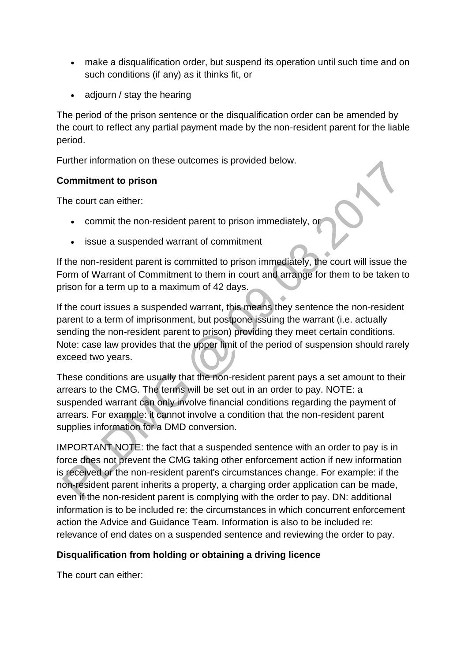- make a disqualification order, but suspend its operation until such time and on such conditions (if any) as it thinks fit, or
- adjourn / stay the hearing

The period of the prison sentence or the disqualification order can be amended by the court to reflect any partial payment made by the non-resident parent for the liable period.

Further information on these outcomes is provided below.

## **Commitment to prison**

The court can either:

- commit the non-resident parent to prison immediately, or
- issue a suspended warrant of commitment

If the non-resident parent is committed to prison immediately, the court will issue the Form of Warrant of Commitment to them in court and arrange for them to be taken to prison for a term up to a maximum of 42 days.

If the court issues a suspended warrant, this means they sentence the non-resident parent to a term of imprisonment, but postpone issuing the warrant (i.e. actually sending the non-resident parent to prison) providing they meet certain conditions. Note: case law provides that the upper limit of the period of suspension should rarely exceed two years.

These conditions are usually that the non-resident parent pays a set amount to their arrears to the CMG. The terms will be set out in an order to pay. NOTE: a suspended warrant can only involve financial conditions regarding the payment of arrears. For example: it cannot involve a condition that the non-resident parent supplies information for a DMD conversion.

IMPORTANT NOTE: the fact that a suspended sentence with an order to pay is in force does not prevent the CMG taking other enforcement action if new information is received or the non-resident parent's circumstances change. For example: if the non-resident parent inherits a property, a charging order application can be made, even if the non-resident parent is complying with the order to pay. DN: additional information is to be included re: the circumstances in which concurrent enforcement action the Advice and Guidance Team. Information is also to be included re: relevance of end dates on a suspended sentence and reviewing the order to pay.

# **Disqualification from holding or obtaining a driving licence**

The court can either: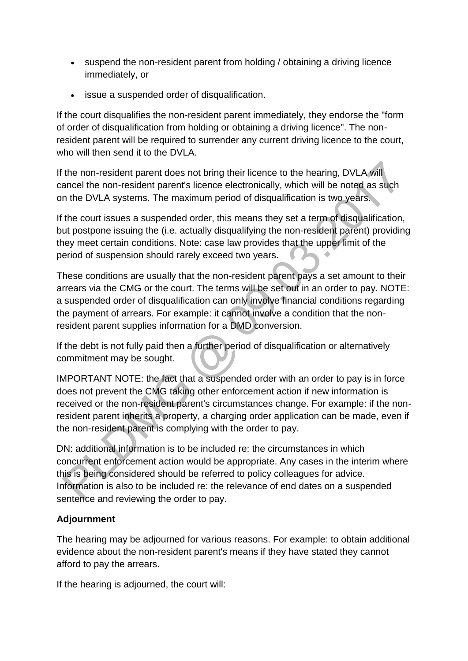- suspend the non-resident parent from holding / obtaining a driving licence immediately, or
- issue a suspended order of disqualification.

If the court disqualifies the non-resident parent immediately, they endorse the "form of order of disqualification from holding or obtaining a driving licence". The nonresident parent will be required to surrender any current driving licence to the court, who will then send it to the DVLA.

If the non-resident parent does not bring their licence to the hearing, DVLA will cancel the non-resident parent's licence electronically, which will be noted as such on the DVLA systems. The maximum period of disqualification is two years.

If the court issues a suspended order, this means they set a term of disqualification, but postpone issuing the (i.e. actually disqualifying the non-resident parent) providing they meet certain conditions. Note: case law provides that the upper limit of the period of suspension should rarely exceed two years.

These conditions are usually that the non-resident parent pays a set amount to their arrears via the CMG or the court. The terms will be set out in an order to pay. NOTE: a suspended order of disqualification can only involve financial conditions regarding the payment of arrears. For example: it cannot involve a condition that the nonresident parent supplies information for a DMD conversion.

If the debt is not fully paid then a further period of disqualification or alternatively commitment may be sought.

IMPORTANT NOTE: the fact that a suspended order with an order to pay is in force does not prevent the CMG taking other enforcement action if new information is received or the non-resident parent's circumstances change. For example: if the nonresident parent inherits a property, a charging order application can be made, even if the non-resident parent is complying with the order to pay.

DN: additional information is to be included re: the circumstances in which concurrent enforcement action would be appropriate. Any cases in the interim where this is being considered should be referred to policy colleagues for advice. Information is also to be included re: the relevance of end dates on a suspended sentence and reviewing the order to pay.

# **Adjournment**

The hearing may be adjourned for various reasons. For example: to obtain additional evidence about the non-resident parent's means if they have stated they cannot afford to pay the arrears.

If the hearing is adjourned, the court will: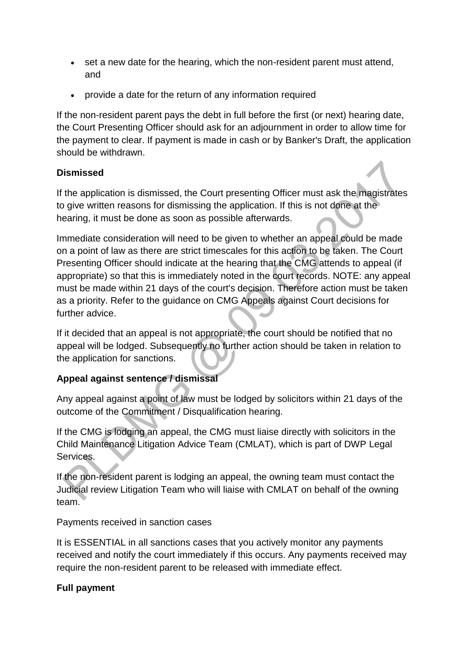- set a new date for the hearing, which the non-resident parent must attend, and
- provide a date for the return of any information required

If the non-resident parent pays the debt in full before the first (or next) hearing date, the Court Presenting Officer should ask for an adjournment in order to allow time for the payment to clear. If payment is made in cash or by Banker's Draft, the application should be withdrawn.

# **Dismissed**

If the application is dismissed, the Court presenting Officer must ask the magistrates to give written reasons for dismissing the application. If this is not done at the hearing, it must be done as soon as possible afterwards.

Immediate consideration will need to be given to whether an appeal could be made on a point of law as there are strict timescales for this action to be taken. The Court Presenting Officer should indicate at the hearing that the CMG attends to appeal (if appropriate) so that this is immediately noted in the court records. NOTE: any appeal must be made within 21 days of the court's decision. Therefore action must be taken as a priority. Refer to the guidance on CMG Appeals against Court decisions for further advice.

If it decided that an appeal is not appropriate, the court should be notified that no appeal will be lodged. Subsequently no further action should be taken in relation to the application for sanctions.

# **Appeal against sentence / dismissal**

Any appeal against a point of law must be lodged by solicitors within 21 days of the outcome of the Commitment / Disqualification hearing.

If the CMG is lodging an appeal, the CMG must liaise directly with solicitors in the Child Maintenance Litigation Advice Team (CMLAT), which is part of DWP Legal Services.

If the non-resident parent is lodging an appeal, the owning team must contact the Judicial review Litigation Team who will liaise with CMLAT on behalf of the owning team.

Payments received in sanction cases

It is ESSENTIAL in all sanctions cases that you actively monitor any payments received and notify the court immediately if this occurs. Any payments received may require the non-resident parent to be released with immediate effect.

# **Full payment**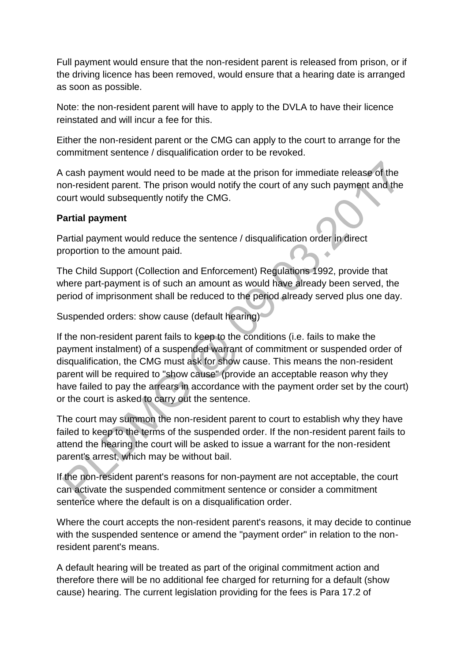Full payment would ensure that the non-resident parent is released from prison, or if the driving licence has been removed, would ensure that a hearing date is arranged as soon as possible.

Note: the non-resident parent will have to apply to the DVLA to have their licence reinstated and will incur a fee for this.

Either the non-resident parent or the CMG can apply to the court to arrange for the commitment sentence / disqualification order to be revoked.

A cash payment would need to be made at the prison for immediate release of the non-resident parent. The prison would notify the court of any such payment and the court would subsequently notify the CMG.

### **Partial payment**

Partial payment would reduce the sentence / disqualification order in direct proportion to the amount paid.

The Child Support (Collection and Enforcement) Regulations 1992, provide that where part-payment is of such an amount as would have already been served, the period of imprisonment shall be reduced to the period already served plus one day.

Suspended orders: show cause (default hearing)

If the non-resident parent fails to keep to the conditions (i.e. fails to make the payment instalment) of a suspended warrant of commitment or suspended order of disqualification, the CMG must ask for show cause. This means the non-resident parent will be required to "show cause" (provide an acceptable reason why they have failed to pay the arrears in accordance with the payment order set by the court) or the court is asked to carry out the sentence.

The court may summon the non-resident parent to court to establish why they have failed to keep to the terms of the suspended order. If the non-resident parent fails to attend the hearing the court will be asked to issue a warrant for the non-resident parent's arrest, which may be without bail.

If the non-resident parent's reasons for non-payment are not acceptable, the court can activate the suspended commitment sentence or consider a commitment sentence where the default is on a disqualification order.

Where the court accepts the non-resident parent's reasons, it may decide to continue with the suspended sentence or amend the "payment order" in relation to the nonresident parent's means.

A default hearing will be treated as part of the original commitment action and therefore there will be no additional fee charged for returning for a default (show cause) hearing. The current legislation providing for the fees is Para 17.2 of